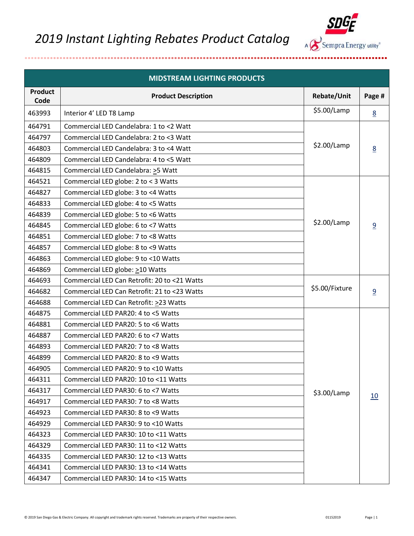

| <b>MIDSTREAM LIGHTING PRODUCTS</b> |                                              |                |                 |
|------------------------------------|----------------------------------------------|----------------|-----------------|
| <b>Product</b><br>Code             | <b>Product Description</b>                   | Rebate/Unit    | Page #          |
| 463993                             | Interior 4' LED T8 Lamp                      | \$5.00/Lamp    | 8               |
| 464791                             | Commercial LED Candelabra: 1 to <2 Watt      |                |                 |
| 464797                             | Commercial LED Candelabra: 2 to <3 Watt      |                |                 |
| 464803                             | Commercial LED Candelabra: 3 to <4 Watt      | \$2.00/Lamp    | $\underline{8}$ |
| 464809                             | Commercial LED Candelabra: 4 to <5 Watt      |                |                 |
| 464815                             | Commercial LED Candelabra: >5 Watt           |                |                 |
| 464521                             | Commercial LED globe: 2 to < 3 Watts         |                |                 |
| 464827                             | Commercial LED globe: 3 to <4 Watts          |                |                 |
| 464833                             | Commercial LED globe: 4 to <5 Watts          |                |                 |
| 464839                             | Commercial LED globe: 5 to <6 Watts          |                |                 |
| 464845                             | Commercial LED globe: 6 to <7 Watts          | \$2.00/Lamp    | 9               |
| 464851                             | Commercial LED globe: 7 to <8 Watts          |                |                 |
| 464857                             | Commercial LED globe: 8 to <9 Watts          |                |                 |
| 464863                             | Commercial LED globe: 9 to <10 Watts         |                |                 |
| 464869                             | Commercial LED globe: >10 Watts              |                |                 |
| 464693                             | Commercial LED Can Retrofit: 20 to <21 Watts |                |                 |
| 464682                             | Commercial LED Can Retrofit: 21 to <23 Watts | \$5.00/Fixture | 9               |
| 464688                             | Commercial LED Can Retrofit: >23 Watts       |                |                 |
| 464875                             | Commercial LED PAR20: 4 to <5 Watts          |                |                 |
| 464881                             | Commercial LED PAR20: 5 to <6 Watts          |                |                 |
| 464887                             | Commercial LED PAR20: 6 to <7 Watts          |                |                 |
| 464893                             | Commercial LED PAR20: 7 to <8 Watts          |                |                 |
| 464899                             | Commercial LED PAR20: 8 to <9 Watts          |                |                 |
| 464905                             | Commercial LED PAR20: 9 to <10 Watts         |                |                 |
| 464311                             | Commercial LED PAR20: 10 to <11 Watts        |                |                 |
| 464317                             | Commercial LED PAR30: 6 to <7 Watts          | \$3.00/Lamp    |                 |
| 464917                             | Commercial LED PAR30: 7 to <8 Watts          |                | 10              |
| 464923                             | Commercial LED PAR30: 8 to <9 Watts          |                |                 |
| 464929                             | Commercial LED PAR30: 9 to <10 Watts         |                |                 |
| 464323                             | Commercial LED PAR30: 10 to <11 Watts        |                |                 |
| 464329                             | Commercial LED PAR30: 11 to <12 Watts        |                |                 |
| 464335                             | Commercial LED PAR30: 12 to <13 Watts        |                |                 |
| 464341                             | Commercial LED PAR30: 13 to <14 Watts        |                |                 |
| 464347                             | Commercial LED PAR30: 14 to <15 Watts        |                |                 |

...........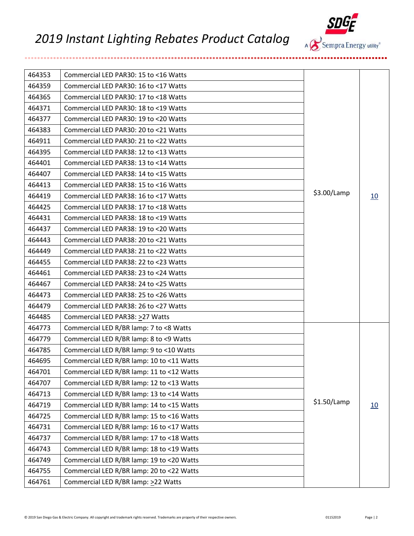

| 464353 | Commercial LED PAR30: 15 to <16 Watts     |               |    |
|--------|-------------------------------------------|---------------|----|
| 464359 | Commercial LED PAR30: 16 to <17 Watts     |               |    |
| 464365 | Commercial LED PAR30: 17 to <18 Watts     |               |    |
| 464371 | Commercial LED PAR30: 18 to <19 Watts     |               |    |
| 464377 | Commercial LED PAR30: 19 to <20 Watts     |               |    |
| 464383 | Commercial LED PAR30: 20 to <21 Watts     |               |    |
| 464911 | Commercial LED PAR30: 21 to <22 Watts     |               |    |
| 464395 | Commercial LED PAR38: 12 to <13 Watts     |               |    |
| 464401 | Commercial LED PAR38: 13 to <14 Watts     |               |    |
| 464407 | Commercial LED PAR38: 14 to <15 Watts     |               |    |
| 464413 | Commercial LED PAR38: 15 to <16 Watts     |               |    |
| 464419 | Commercial LED PAR38: 16 to <17 Watts     | \$3.00/Lamp   | 10 |
| 464425 | Commercial LED PAR38: 17 to <18 Watts     |               |    |
| 464431 | Commercial LED PAR38: 18 to <19 Watts     |               |    |
| 464437 | Commercial LED PAR38: 19 to <20 Watts     |               |    |
| 464443 | Commercial LED PAR38: 20 to <21 Watts     |               |    |
| 464449 | Commercial LED PAR38: 21 to <22 Watts     |               |    |
| 464455 | Commercial LED PAR38: 22 to <23 Watts     |               |    |
| 464461 | Commercial LED PAR38: 23 to <24 Watts     |               |    |
| 464467 | Commercial LED PAR38: 24 to <25 Watts     |               |    |
| 464473 | Commercial LED PAR38: 25 to <26 Watts     |               |    |
| 464479 | Commercial LED PAR38: 26 to <27 Watts     |               |    |
| 464485 | Commercial LED PAR38: > 27 Watts          |               |    |
| 464773 | Commercial LED R/BR lamp: 7 to <8 Watts   |               |    |
| 464779 | Commercial LED R/BR lamp: 8 to <9 Watts   |               |    |
| 464785 | Commercial LED R/BR lamp: 9 to <10 Watts  |               |    |
| 464695 | Commercial LED R/BR lamp: 10 to <11 Watts |               |    |
| 464701 | Commercial LED R/BR lamp: 11 to <12 Watts |               |    |
| 464707 | Commercial LED R/BR lamp: 12 to <13 Watts |               |    |
| 464713 | Commercial LED R/BR lamp: 13 to <14 Watts |               |    |
| 464719 | Commercial LED R/BR lamp: 14 to <15 Watts | $$1.50$ /Lamp | 10 |
| 464725 | Commercial LED R/BR lamp: 15 to <16 Watts |               |    |
| 464731 | Commercial LED R/BR lamp: 16 to <17 Watts |               |    |
| 464737 | Commercial LED R/BR lamp: 17 to <18 Watts |               |    |
| 464743 | Commercial LED R/BR lamp: 18 to <19 Watts |               |    |
| 464749 | Commercial LED R/BR lamp: 19 to <20 Watts |               |    |
| 464755 | Commercial LED R/BR lamp: 20 to <22 Watts |               |    |
| 464761 | Commercial LED R/BR lamp: >22 Watts       |               |    |

...........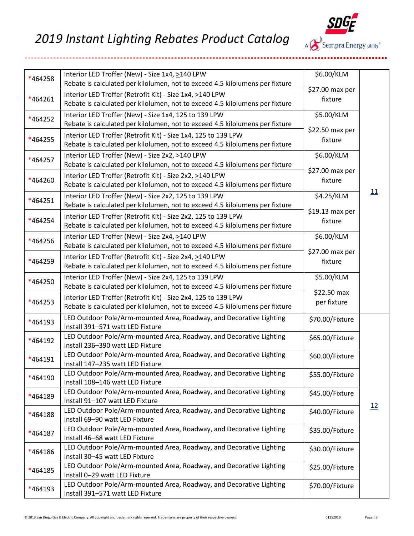

| *464258 | Interior LED Troffer (New) - Size 1x4, >140 LPW                                                                                                | \$6.00/KLM                 |    |
|---------|------------------------------------------------------------------------------------------------------------------------------------------------|----------------------------|----|
|         | Rebate is calculated per kilolumen, not to exceed 4.5 kilolumens per fixture<br>Interior LED Troffer (Retrofit Kit) - Size 1x4, >140 LPW       | \$27.00 max per            |    |
| *464261 | Rebate is calculated per kilolumen, not to exceed 4.5 kilolumens per fixture                                                                   | fixture                    |    |
| *464252 | Interior LED Troffer (New) - Size 1x4, 125 to 139 LPW                                                                                          | \$5.00/KLM                 |    |
|         | Rebate is calculated per kilolumen, not to exceed 4.5 kilolumens per fixture                                                                   | \$22.50 max per            |    |
| *464255 | Interior LED Troffer (Retrofit Kit) - Size 1x4, 125 to 139 LPW<br>Rebate is calculated per kilolumen, not to exceed 4.5 kilolumens per fixture | fixture                    |    |
|         | Interior LED Troffer (New) - Size 2x2, >140 LPW                                                                                                | \$6.00/KLM                 |    |
| *464257 | Rebate is calculated per kilolumen, not to exceed 4.5 kilolumens per fixture                                                                   |                            |    |
| *464260 | Interior LED Troffer (Retrofit Kit) - Size 2x2, >140 LPW                                                                                       | \$27.00 max per<br>fixture |    |
|         | Rebate is calculated per kilolumen, not to exceed 4.5 kilolumens per fixture                                                                   |                            | 11 |
| *464251 | Interior LED Troffer (New) - Size 2x2, 125 to 139 LPW<br>Rebate is calculated per kilolumen, not to exceed 4.5 kilolumens per fixture          | \$4.25/KLM                 |    |
|         | Interior LED Troffer (Retrofit Kit) - Size 2x2, 125 to 139 LPW                                                                                 | \$19.13 max per            |    |
| *464254 | Rebate is calculated per kilolumen, not to exceed 4.5 kilolumens per fixture                                                                   | fixture                    |    |
| *464256 | Interior LED Troffer (New) - Size 2x4, >140 LPW                                                                                                | \$6.00/KLM                 |    |
|         | Rebate is calculated per kilolumen, not to exceed 4.5 kilolumens per fixture                                                                   | \$27.00 max per            |    |
| *464259 | Interior LED Troffer (Retrofit Kit) - Size 2x4, >140 LPW<br>Rebate is calculated per kilolumen, not to exceed 4.5 kilolumens per fixture       | fixture                    |    |
|         | Interior LED Troffer (New) - Size 2x4, 125 to 139 LPW                                                                                          | \$5.00/KLM                 |    |
| *464250 | Rebate is calculated per kilolumen, not to exceed 4.5 kilolumens per fixture                                                                   | \$22.50 max                |    |
| *464253 | Interior LED Troffer (Retrofit Kit) - Size 2x4, 125 to 139 LPW                                                                                 | per fixture                |    |
|         | Rebate is calculated per kilolumen, not to exceed 4.5 kilolumens per fixture                                                                   |                            |    |
| *464193 | LED Outdoor Pole/Arm-mounted Area, Roadway, and Decorative Lighting<br>Install 391-571 watt LED Fixture                                        | \$70.00/Fixture            |    |
| *464192 | LED Outdoor Pole/Arm-mounted Area, Roadway, and Decorative Lighting                                                                            | \$65.00/Fixture            |    |
|         | Install 236-390 watt LED Fixture                                                                                                               |                            |    |
| *464191 | LED Outdoor Pole/Arm-mounted Area, Roadway, and Decorative Lighting<br>Install 147-235 watt LED Fixture                                        | \$60.00/Fixture            |    |
|         | LED Outdoor Pole/Arm-mounted Area, Roadway, and Decorative Lighting                                                                            | \$55.00/Fixture            |    |
| *464190 | Install 108-146 watt LED Fixture                                                                                                               |                            |    |
| *464189 | LED Outdoor Pole/Arm-mounted Area, Roadway, and Decorative Lighting<br>Install 91-107 watt LED Fixture                                         | \$45.00/Fixture            |    |
|         | LED Outdoor Pole/Arm-mounted Area, Roadway, and Decorative Lighting                                                                            | \$40.00/Fixture            | 12 |
| *464188 | Install 69-90 watt LED Fixture                                                                                                                 |                            |    |
| *464187 | LED Outdoor Pole/Arm-mounted Area, Roadway, and Decorative Lighting                                                                            | \$35.00/Fixture            |    |
|         | Install 46-68 watt LED Fixture<br>LED Outdoor Pole/Arm-mounted Area, Roadway, and Decorative Lighting                                          | \$30.00/Fixture            |    |
| *464186 | Install 30-45 watt LED Fixture                                                                                                                 |                            |    |
| *464185 | LED Outdoor Pole/Arm-mounted Area, Roadway, and Decorative Lighting                                                                            | \$25.00/Fixture            |    |
|         | Install 0-29 watt LED Fixture<br>LED Outdoor Pole/Arm-mounted Area, Roadway, and Decorative Lighting                                           |                            |    |
| *464193 | Install 391-571 watt LED Fixture                                                                                                               | \$70.00/Fixture            |    |

..............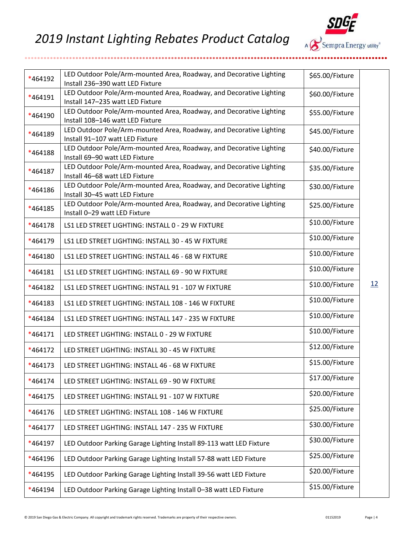...............**.** 

...............................



| *464192 | LED Outdoor Pole/Arm-mounted Area, Roadway, and Decorative Lighting<br>Install 236-390 watt LED Fixture | \$65.00/Fixture |    |
|---------|---------------------------------------------------------------------------------------------------------|-----------------|----|
| *464191 | LED Outdoor Pole/Arm-mounted Area, Roadway, and Decorative Lighting<br>Install 147-235 watt LED Fixture | \$60.00/Fixture |    |
| *464190 | LED Outdoor Pole/Arm-mounted Area, Roadway, and Decorative Lighting<br>Install 108-146 watt LED Fixture | \$55.00/Fixture |    |
| *464189 | LED Outdoor Pole/Arm-mounted Area, Roadway, and Decorative Lighting<br>Install 91-107 watt LED Fixture  | \$45.00/Fixture |    |
| *464188 | LED Outdoor Pole/Arm-mounted Area, Roadway, and Decorative Lighting<br>Install 69-90 watt LED Fixture   | \$40.00/Fixture |    |
| *464187 | LED Outdoor Pole/Arm-mounted Area, Roadway, and Decorative Lighting<br>Install 46-68 watt LED Fixture   | \$35.00/Fixture |    |
| *464186 | LED Outdoor Pole/Arm-mounted Area, Roadway, and Decorative Lighting<br>Install 30-45 watt LED Fixture   | \$30.00/Fixture |    |
| *464185 | LED Outdoor Pole/Arm-mounted Area, Roadway, and Decorative Lighting<br>Install 0-29 watt LED Fixture    | \$25.00/Fixture |    |
| *464178 | LS1 LED STREET LIGHTING: INSTALL 0 - 29 W FIXTURE                                                       | \$10.00/Fixture |    |
| *464179 | LS1 LED STREET LIGHTING: INSTALL 30 - 45 W FIXTURE                                                      | \$10.00/Fixture |    |
| *464180 | LS1 LED STREET LIGHTING: INSTALL 46 - 68 W FIXTURE                                                      | \$10.00/Fixture |    |
| *464181 | LS1 LED STREET LIGHTING: INSTALL 69 - 90 W FIXTURE                                                      | \$10.00/Fixture |    |
| *464182 | LS1 LED STREET LIGHTING: INSTALL 91 - 107 W FIXTURE                                                     | \$10.00/Fixture | 12 |
| *464183 | LS1 LED STREET LIGHTING: INSTALL 108 - 146 W FIXTURE                                                    | \$10.00/Fixture |    |
| *464184 | LS1 LED STREET LIGHTING: INSTALL 147 - 235 W FIXTURE                                                    | \$10.00/Fixture |    |
| *464171 | LED STREET LIGHTING: INSTALL 0 - 29 W FIXTURE                                                           | \$10.00/Fixture |    |
| *464172 | LED STREET LIGHTING: INSTALL 30 - 45 W FIXTURE                                                          | \$12.00/Fixture |    |
| *464173 | LED STREET LIGHTING: INSTALL 46 - 68 W FIXTURE                                                          | \$15.00/Fixture |    |
| *464174 | LED STREET LIGHTING: INSTALL 69 - 90 W FIXTURE                                                          | \$17.00/Fixture |    |
| *464175 | LED STREET LIGHTING: INSTALL 91 - 107 W FIXTURE                                                         | \$20.00/Fixture |    |
| *464176 | LED STREET LIGHTING: INSTALL 108 - 146 W FIXTURE                                                        | \$25.00/Fixture |    |
| *464177 | LED STREET LIGHTING: INSTALL 147 - 235 W FIXTURE                                                        | \$30.00/Fixture |    |
| *464197 | LED Outdoor Parking Garage Lighting Install 89-113 watt LED Fixture                                     | \$30.00/Fixture |    |
| *464196 | LED Outdoor Parking Garage Lighting Install 57-88 watt LED Fixture                                      | \$25.00/Fixture |    |
| *464195 | LED Outdoor Parking Garage Lighting Install 39-56 watt LED Fixture                                      | \$20.00/Fixture |    |
| *464194 | LED Outdoor Parking Garage Lighting Install 0-38 watt LED Fixture                                       | \$15.00/Fixture |    |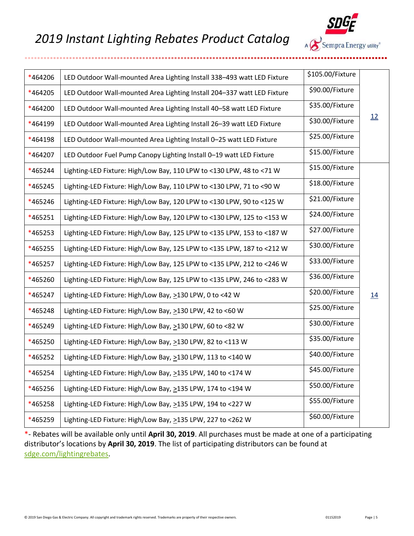

| *464206 | LED Outdoor Wall-mounted Area Lighting Install 338-493 watt LED Fixture | \$105.00/Fixture |           |
|---------|-------------------------------------------------------------------------|------------------|-----------|
| *464205 | LED Outdoor Wall-mounted Area Lighting Install 204-337 watt LED Fixture | \$90.00/Fixture  |           |
| *464200 | LED Outdoor Wall-mounted Area Lighting Install 40-58 watt LED Fixture   | \$35.00/Fixture  |           |
| *464199 | LED Outdoor Wall-mounted Area Lighting Install 26-39 watt LED Fixture   | \$30.00/Fixture  | <u>12</u> |
| *464198 | LED Outdoor Wall-mounted Area Lighting Install 0-25 watt LED Fixture    | \$25.00/Fixture  |           |
| *464207 | LED Outdoor Fuel Pump Canopy Lighting Install 0-19 watt LED Fixture     | \$15.00/Fixture  |           |
| *465244 | Lighting-LED Fixture: High/Low Bay, 110 LPW to <130 LPW, 48 to <71 W    | \$15.00/Fixture  |           |
| *465245 | Lighting-LED Fixture: High/Low Bay, 110 LPW to <130 LPW, 71 to <90 W    | \$18.00/Fixture  |           |
| *465246 | Lighting-LED Fixture: High/Low Bay, 120 LPW to <130 LPW, 90 to <125 W   | \$21.00/Fixture  |           |
| *465251 | Lighting-LED Fixture: High/Low Bay, 120 LPW to <130 LPW, 125 to <153 W  | \$24.00/Fixture  |           |
| *465253 | Lighting-LED Fixture: High/Low Bay, 125 LPW to <135 LPW, 153 to <187 W  | \$27.00/Fixture  |           |
| *465255 | Lighting-LED Fixture: High/Low Bay, 125 LPW to <135 LPW, 187 to <212 W  | \$30.00/Fixture  |           |
| *465257 | Lighting-LED Fixture: High/Low Bay, 125 LPW to <135 LPW, 212 to <246 W  | \$33.00/Fixture  |           |
| *465260 | Lighting-LED Fixture: High/Low Bay, 125 LPW to <135 LPW, 246 to <283 W  | \$36.00/Fixture  |           |
| *465247 | Lighting-LED Fixture: High/Low Bay, >130 LPW, 0 to <42 W                | \$20.00/Fixture  | 14        |
| *465248 | Lighting-LED Fixture: High/Low Bay, >130 LPW, 42 to <60 W               | \$25.00/Fixture  |           |
| *465249 | Lighting-LED Fixture: High/Low Bay, >130 LPW, 60 to <82 W               | \$30.00/Fixture  |           |
| *465250 | Lighting-LED Fixture: High/Low Bay, >130 LPW, 82 to <113 W              | \$35.00/Fixture  |           |
| *465252 | Lighting-LED Fixture: High/Low Bay, >130 LPW, 113 to <140 W             | \$40.00/Fixture  |           |
| *465254 | Lighting-LED Fixture: High/Low Bay, >135 LPW, 140 to <174 W             | \$45.00/Fixture  |           |
| *465256 | Lighting-LED Fixture: High/Low Bay, >135 LPW, 174 to <194 W             | \$50.00/Fixture  |           |
| *465258 | Lighting-LED Fixture: High/Low Bay, >135 LPW, 194 to <227 W             | \$55.00/Fixture  |           |
| *465259 | Lighting-LED Fixture: High/Low Bay, >135 LPW, 227 to <262 W             | \$60.00/Fixture  |           |
|         |                                                                         |                  |           |

\*- Rebates will be available only until **April 30, 2019**. All purchases must be made at one of a participating distributor's locations by **April 30, 2019**. The list of participating distributors can be found at [sdge.com/lightingrebates.](file://///Nas-cp1b/data/MKTG/SHARE/Commercial%20&%20Industrial%20Markets/2013-2014%20Business%20Energy%20Solutions/Forms/EEBR/Midstream%20Lighting/2019/Product%20Catalog/sdge.com/lightingrebates)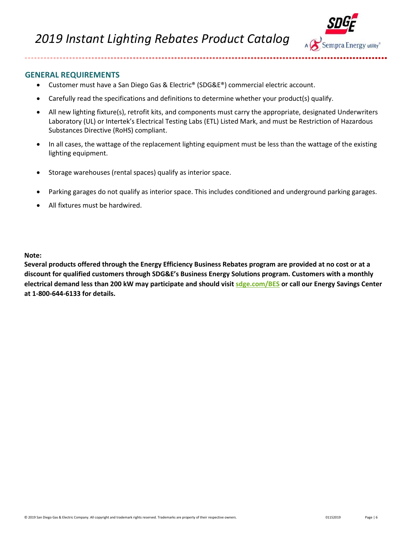



## **GENERAL REQUIREMENTS**

................

- Customer must have a San Diego Gas & Electric® (SDG&E®) commercial electric account.
- Carefully read the specifications and definitions to determine whether your product(s) qualify.
- All new lighting fixture(s), retrofit kits, and components must carry the appropriate, designated Underwriters Laboratory (UL) or Intertek's Electrical Testing Labs (ETL) Listed Mark, and must be Restriction of Hazardous Substances Directive (RoHS) compliant.
- In all cases, the wattage of the replacement lighting equipment must be less than the wattage of the existing lighting equipment.
- Storage warehouses (rental spaces) qualify as interior space.
- Parking garages do not qualify as interior space. This includes conditioned and underground parking garages.
- All fixtures must be hardwired.

**Note:**

**Several products offered through the Energy Efficiency Business Rebates program are provided at no cost or at a discount for qualified customers through SDG&E's Business Energy Solutions program. Customers with a monthly electrical demand less than 200 kW may participate and should visi[t sdge.com/BES](http://www.sdge.com/bes) or call our Energy Savings Center at 1-800-644-6133 for details.**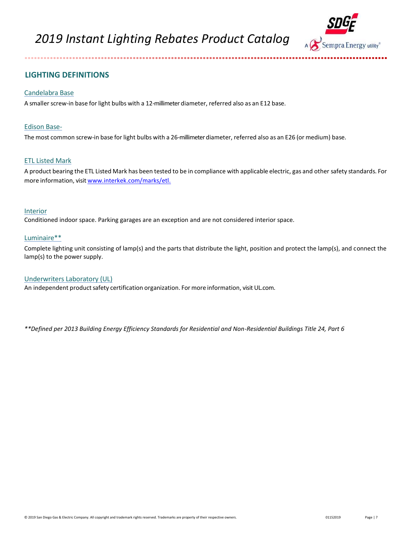

# **LIGHTING DEFINITIONS**

. . . . . . . . . . . . . . . . . . .

### Candelabra Base

A smaller screw-in base for light bulbs with a 12-millimeter diameter, referred also as an E12 base.

#### Edison Base-

The most common screw-in base for light bulbs with a 26-millimeter diameter, referred also as an E26 (or medium) base.

#### ETL Listed Mark

A product bearing the ETL Listed Mark has been tested to be in compliance with applicable electric, gas and other safety standards. For more information, visit [www.interkek.com/marks/etl.](http://www.intertek.com/marks/etl)

#### Interior

Conditioned indoor space. Parking garages are an exception and are not considered interior space.

#### Luminaire\*\*

Complete lighting unit consisting of lamp(s) and the parts that distribute the light, position and protect the lamp(s), and connect the lamp(s) to the power supply.

### Underwriters Laboratory (UL)

An independent product safety certification organization. For more information, visit UL.com.

*\*\*Defined per 2013 Building Energy Efficiency Standards for Residential and Non-Residential Buildings Title 24, Part 6*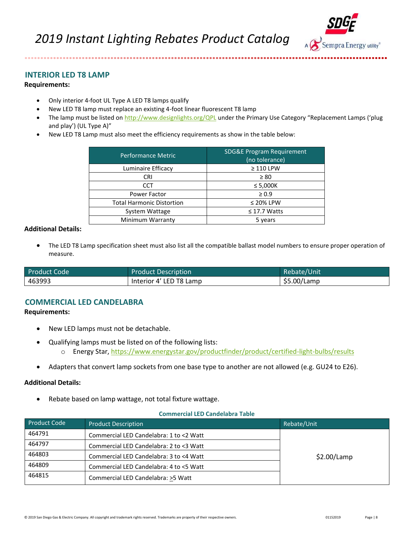

# <span id="page-7-0"></span>**INTERIOR LED T8 LAMP**

................

## **Requirements:**

- Only interior 4-foot UL Type A LED T8 lamps qualify
- New LED T8 lamp must replace an existing 4-foot linear fluorescent T8 lamp
- The lamp must be listed on<http://www.designlights.org/QPL> under the Primary Use Category "Replacement Lamps ('plug and play') (UL Type A)"
- New LED T8 Lamp must also meet the efficiency requirements as show in the table below:

| <b>Performance Metric</b>        | <b>SDG&amp;E Program Requirement</b><br>(no tolerance) |
|----------------------------------|--------------------------------------------------------|
| Luminaire Efficacy               | $\geq$ 110 LPW                                         |
| CRI                              | $\geq 80$                                              |
| <b>CCT</b>                       | $\leq 5,000K$                                          |
| <b>Power Factor</b>              | $\geq 0.9$                                             |
| <b>Total Harmonic Distortion</b> | $\leq$ 20% LPW                                         |
| System Wattage                   | $\leq$ 17.7 Watts                                      |
| Minimum Warranty                 | 5 years                                                |

#### **Additional Details:**

• The LED T8 Lamp specification sheet must also list all the compatible ballast model numbers to ensure proper operation of measure.

| <b>Product Code</b> | <b>Product Description</b> | Rebate/Unit |
|---------------------|----------------------------|-------------|
| 463993              | Interior 4' LED T8 Lamp    | \$5.00/Lamp |

## <span id="page-7-1"></span>**COMMERCIAL LED CANDELABRA**

#### **Requirements:**

- New LED lamps must not be detachable.
- Qualifying lamps must be listed on of the following lists:
	- o Energy Star,<https://www.energystar.gov/productfinder/product/certified-light-bulbs/results>
- Adapters that convert lamp sockets from one base type to another are not allowed (e.g. GU24 to E26).

#### **Additional Details:**

• Rebate based on lamp wattage, not total fixture wattage.

#### **Commercial LED Candelabra Table**

| <b>Product Code</b> | <b>Product Description</b>              | Rebate/Unit |
|---------------------|-----------------------------------------|-------------|
| 464791              | Commercial LED Candelabra: 1 to <2 Watt |             |
| 464797              | Commercial LED Candelabra: 2 to <3 Watt |             |
| 464803              | Commercial LED Candelabra: 3 to <4 Watt | \$2.00/Lamp |
| 464809              | Commercial LED Candelabra: 4 to <5 Watt |             |
| 464815              | Commercial LED Candelabra: >5 Watt      |             |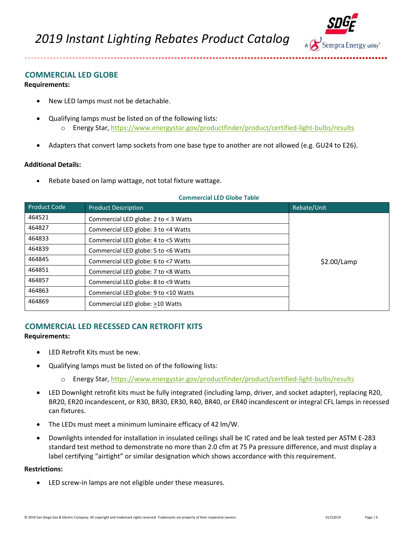

# <span id="page-8-0"></span>**COMMERCIAL LED GLOBE**

.................

### **Requirements:**

- New LED lamps must not be detachable.
- Qualifying lamps must be listed on of the following lists:
	- o Energy Star, <https://www.energystar.gov/productfinder/product/certified-light-bulbs/results>
- Adapters that convert lamp sockets from one base type to another are not allowed (e.g. GU24 to E26).

### **Additional Details:**

Rebate based on lamp wattage, not total fixture wattage.

#### **Commercial LED Globe Table**

| <b>Product Code</b> | <b>Product Description</b>           | Rebate/Unit |
|---------------------|--------------------------------------|-------------|
| 464521              | Commercial LED globe: 2 to < 3 Watts |             |
| 464827              | Commercial LED globe: 3 to <4 Watts  |             |
| 464833              | Commercial LED globe: 4 to <5 Watts  |             |
| 464839              | Commercial LED globe: 5 to <6 Watts  |             |
| 464845              | Commercial LED globe: 6 to <7 Watts  | \$2.00/Lamp |
| 464851              | Commercial LED globe: 7 to <8 Watts  |             |
| 464857              | Commercial LED globe: 8 to <9 Watts  |             |
| 464863              | Commercial LED globe: 9 to <10 Watts |             |
| 464869              | Commercial LED globe: >10 Watts      |             |

# <span id="page-8-1"></span>**COMMERCIAL LED RECESSED CAN RETROFIT KITS**

## **Requirements:**

- LED Retrofit Kits must be new.
- Qualifying lamps must be listed on of the following lists:
	- o Energy Star, <https://www.energystar.gov/productfinder/product/certified-light-bulbs/results>
- LED Downlight retrofit kits must be fully integrated (including lamp, driver, and socket adapter), replacing R20, BR20, ER20 incandescent, or R30, BR30, ER30, R40, BR40, or ER40 incandescent or integral CFL lamps in recessed can fixtures.
- The LEDs must meet a minimum luminaire efficacy of 42 lm/W.
- Downlights intended for installation in insulated ceilings shall be IC rated and be leak tested per ASTM E-283 standard test method to demonstrate no more than 2.0 cfm at 75 Pa pressure difference, and must display a label certifying "airtight" or similar designation which shows accordance with this requirement.

#### **Restrictions:**

• LED screw-in lamps are not eligible under these measures.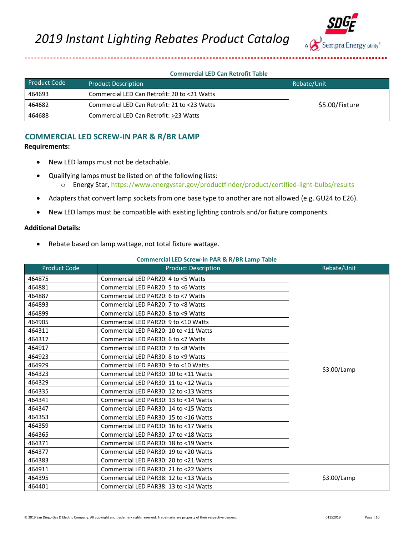

#### **Commercial LED Can Retrofit Table**

| Product Code | <b>Product Description</b>                   | Rebate/Unit    |
|--------------|----------------------------------------------|----------------|
| 464693       | Commercial LED Can Retrofit: 20 to <21 Watts |                |
| 464682       | Commercial LED Can Retrofit: 21 to <23 Watts | \$5.00/Fixture |
| 464688       | Commercial LED Can Retrofit: >23 Watts       |                |

# <span id="page-9-0"></span>**COMMERCIAL LED SCREW-IN PAR & R/BR LAMP**

#### **Requirements:**

- New LED lamps must not be detachable.
- Qualifying lamps must be listed on of the following lists: o Energy Star,<https://www.energystar.gov/productfinder/product/certified-light-bulbs/results>
- Adapters that convert lamp sockets from one base type to another are not allowed (e.g. GU24 to E26).
- New LED lamps must be compatible with existing lighting controls and/or fixture components.

### **Additional Details:**

• Rebate based on lamp wattage, not total fixture wattage.

#### **Commercial LED Screw-in PAR & R/BR Lamp Table**

| <b>Product Code</b> | <b>Product Description</b>            | Rebate/Unit   |
|---------------------|---------------------------------------|---------------|
| 464875              | Commercial LED PAR20: 4 to <5 Watts   |               |
| 464881              | Commercial LED PAR20: 5 to <6 Watts   |               |
| 464887              | Commercial LED PAR20: 6 to <7 Watts   |               |
| 464893              | Commercial LED PAR20: 7 to <8 Watts   |               |
| 464899              | Commercial LED PAR20: 8 to <9 Watts   |               |
| 464905              | Commercial LED PAR20: 9 to <10 Watts  |               |
| 464311              | Commercial LED PAR20: 10 to <11 Watts |               |
| 464317              | Commercial LED PAR30: 6 to <7 Watts   |               |
| 464917              | Commercial LED PAR30: 7 to <8 Watts   |               |
| 464923              | Commercial LED PAR30: 8 to <9 Watts   |               |
| 464929              | Commercial LED PAR30: 9 to <10 Watts  |               |
| 464323              | Commercial LED PAR30: 10 to <11 Watts | $$3.00$ /Lamp |
| 464329              | Commercial LED PAR30: 11 to <12 Watts |               |
| 464335              | Commercial LED PAR30: 12 to <13 Watts |               |
| 464341              | Commercial LED PAR30: 13 to <14 Watts |               |
| 464347              | Commercial LED PAR30: 14 to <15 Watts |               |
| 464353              | Commercial LED PAR30: 15 to <16 Watts |               |
| 464359              | Commercial LED PAR30: 16 to <17 Watts |               |
| 464365              | Commercial LED PAR30: 17 to <18 Watts |               |
| 464371              | Commercial LED PAR30: 18 to <19 Watts |               |
| 464377              | Commercial LED PAR30: 19 to <20 Watts |               |
| 464383              | Commercial LED PAR30: 20 to <21 Watts |               |
| 464911              | Commercial LED PAR30: 21 to <22 Watts |               |
| 464395              | Commercial LED PAR38: 12 to <13 Watts | \$3.00/Lamp   |
| 464401              | Commercial LED PAR38: 13 to <14 Watts |               |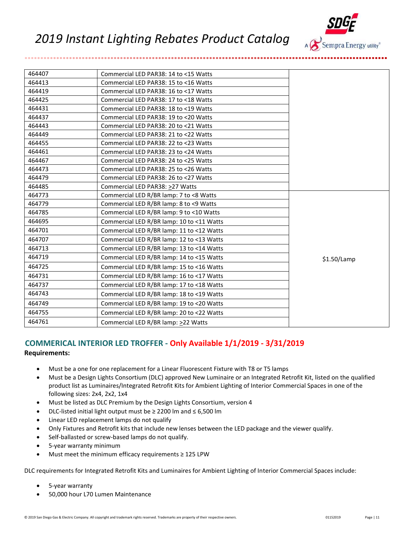

| 464407 | Commercial LED PAR38: 14 to <15 Watts     |             |
|--------|-------------------------------------------|-------------|
| 464413 | Commercial LED PAR38: 15 to <16 Watts     |             |
| 464419 | Commercial LED PAR38: 16 to <17 Watts     |             |
| 464425 | Commercial LED PAR38: 17 to <18 Watts     |             |
| 464431 | Commercial LED PAR38: 18 to <19 Watts     |             |
| 464437 | Commercial LED PAR38: 19 to <20 Watts     |             |
| 464443 | Commercial LED PAR38: 20 to <21 Watts     |             |
| 464449 | Commercial LED PAR38: 21 to <22 Watts     |             |
| 464455 | Commercial LED PAR38: 22 to <23 Watts     |             |
| 464461 | Commercial LED PAR38: 23 to <24 Watts     |             |
| 464467 | Commercial LED PAR38: 24 to <25 Watts     |             |
| 464473 | Commercial LED PAR38: 25 to <26 Watts     |             |
| 464479 | Commercial LED PAR38: 26 to <27 Watts     |             |
| 464485 | Commercial LED PAR38: >27 Watts           |             |
| 464773 | Commercial LED R/BR lamp: 7 to <8 Watts   |             |
| 464779 | Commercial LED R/BR lamp: 8 to <9 Watts   |             |
| 464785 | Commercial LED R/BR lamp: 9 to <10 Watts  |             |
| 464695 | Commercial LED R/BR lamp: 10 to <11 Watts |             |
| 464701 | Commercial LED R/BR lamp: 11 to <12 Watts |             |
| 464707 | Commercial LED R/BR lamp: 12 to <13 Watts |             |
| 464713 | Commercial LED R/BR lamp: 13 to <14 Watts |             |
| 464719 | Commercial LED R/BR lamp: 14 to <15 Watts | \$1.50/Lamp |
| 464725 | Commercial LED R/BR lamp: 15 to <16 Watts |             |
| 464731 | Commercial LED R/BR lamp: 16 to <17 Watts |             |
| 464737 | Commercial LED R/BR lamp: 17 to <18 Watts |             |
| 464743 | Commercial LED R/BR lamp: 18 to <19 Watts |             |
| 464749 | Commercial LED R/BR lamp: 19 to <20 Watts |             |
| 464755 | Commercial LED R/BR lamp: 20 to <22 Watts |             |
| 464761 | Commercial LED R/BR lamp: >22 Watts       |             |

# <span id="page-10-0"></span>**COMMERICAL INTERIOR LED TROFFER - Only Available 1/1/2019 - 3/31/2019**

#### **Requirements:**

...................

- Must be a one for one replacement for a Linear Fluorescent Fixture with T8 or T5 lamps
- Must be a Design Lights Consortium (DLC) approved New Luminaire or an Integrated Retrofit Kit, listed on the qualified product list as Luminaires/Integrated Retrofit Kits for Ambient Lighting of Interior Commercial Spaces in one of the following sizes: 2x4, 2x2, 1x4
- Must be listed as DLC Premium by the Design Lights Consortium, version 4
- DLC-listed initial light output must be ≥ 2200 lm and ≤ 6,500 lm
- Linear LED replacement lamps do not qualify
- Only Fixtures and Retrofit kits that include new lenses between the LED package and the viewer qualify.
- Self-ballasted or screw-based lamps do not qualify.
- 5-year warranty minimum
- Must meet the minimum efficacy requirements ≥ 125 LPW

DLC requirements for Integrated Retrofit Kits and Luminaires for Ambient Lighting of Interior Commercial Spaces include:

- 5-year warranty
- 50,000 hour L70 Lumen Maintenance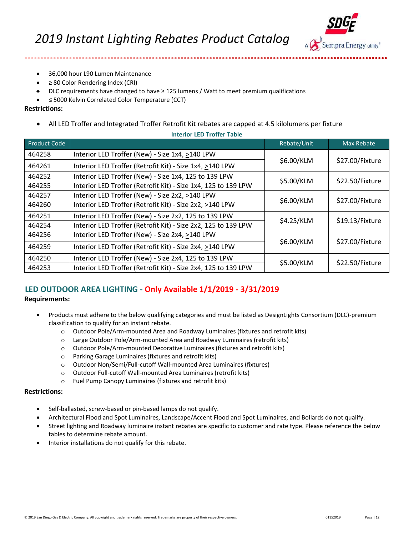

- 36,000 hour L90 Lumen Maintenance
- ≥ 80 Color Rendering Index (CRI)
- DLC requirements have changed to have  $\geq$  125 lumens / Watt to meet premium qualifications
- ≤ 5000 Kelvin Correlated Color Temperature (CCT)

### **Restrictions:**

........................

• All LED Troffer and Integrated Troffer Retrofit Kit rebates are capped at 4.5 kilolumens per fixture

| <b>Product Code</b> |                                                                | Rebate/Unit | <b>Max Rebate</b> |
|---------------------|----------------------------------------------------------------|-------------|-------------------|
| 464258              | Interior LED Troffer (New) - Size 1x4, >140 LPW                |             | \$27.00/Fixture   |
| 464261              | Interior LED Troffer (Retrofit Kit) - Size 1x4, >140 LPW       | \$6.00/KLM  |                   |
| 464252              | Interior LED Troffer (New) - Size 1x4, 125 to 139 LPW          | \$5.00/KLM  | \$22.50/Fixture   |
| 464255              | Interior LED Troffer (Retrofit Kit) - Size 1x4, 125 to 139 LPW |             |                   |
| 464257              | Interior LED Troffer (New) - Size 2x2, >140 LPW                |             | \$27.00/Fixture   |
| 464260              | Interior LED Troffer (Retrofit Kit) - Size 2x2, >140 LPW       | \$6.00/KLM  |                   |
| 464251              | Interior LED Troffer (New) - Size 2x2, 125 to 139 LPW          | \$4.25/KLM  | \$19.13/Fixture   |
| 464254              | Interior LED Troffer (Retrofit Kit) - Size 2x2, 125 to 139 LPW |             |                   |
| 464256              | Interior LED Troffer (New) - Size 2x4, >140 LPW                | \$6.00/KLM  | \$27.00/Fixture   |
| 464259              | Interior LED Troffer (Retrofit Kit) - Size 2x4, >140 LPW       |             |                   |
| 464250              | Interior LED Troffer (New) - Size 2x4, 125 to 139 LPW          | \$5.00/KLM  | \$22.50/Fixture   |
| 464253              | Interior LED Troffer (Retrofit Kit) - Size 2x4, 125 to 139 LPW |             |                   |

**Interior LED Troffer Table**

# <span id="page-11-0"></span>**LED OUTDOOR AREA LIGHTING - Only Available 1/1/2019 - 3/31/2019**

### **Requirements:**

- Products must adhere to the below qualifying categories and must be listed as DesignLights Consortium (DLC)-premium classification to qualify for an instant rebate.
	- o Outdoor Pole/Arm-mounted Area and Roadway Luminaires (fixtures and retrofit kits)
	- o Large Outdoor Pole/Arm-mounted Area and Roadway Luminaires (retrofit kits)
	- o Outdoor Pole/Arm-mounted Decorative Luminaires (fixtures and retrofit kits)
	- o Parking Garage Luminaires (fixtures and retrofit kits)
	- o Outdoor Non/Semi/Full-cutoff Wall-mounted Area Luminaires (fixtures)
	- o Outdoor Full-cutoff Wall-mounted Area Luminaires (retrofit kits)
	- o Fuel Pump Canopy Luminaires (fixtures and retrofit kits)

### **Restrictions:**

- Self-ballasted, screw-based or pin-based lamps do not qualify.
- Architectural Flood and Spot Luminaires, Landscape/Accent Flood and Spot Luminaires, and Bollards do not qualify.
- Street lighting and Roadway luminaire instant rebates are specific to customer and rate type. Please reference the below tables to determine rebate amount.
- Interior installations do not qualify for this rebate.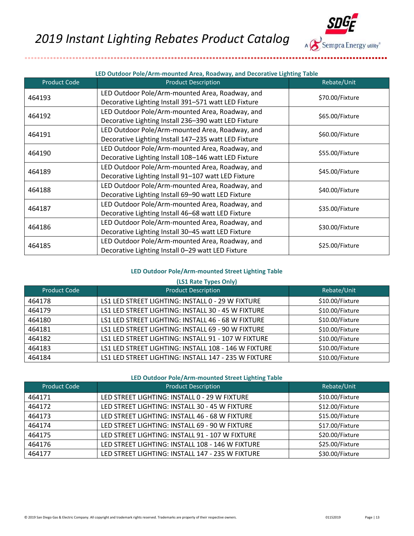

| <b>Product Code</b> | <b>Product Description</b>                                                                              | Rebate/Unit     |
|---------------------|---------------------------------------------------------------------------------------------------------|-----------------|
| 464193              | LED Outdoor Pole/Arm-mounted Area, Roadway, and<br>Decorative Lighting Install 391-571 watt LED Fixture | \$70.00/Fixture |
| 464192              | LED Outdoor Pole/Arm-mounted Area, Roadway, and<br>Decorative Lighting Install 236-390 watt LED Fixture | \$65.00/Fixture |
| 464191              | LED Outdoor Pole/Arm-mounted Area, Roadway, and<br>Decorative Lighting Install 147-235 watt LED Fixture | \$60.00/Fixture |
| 464190              | LED Outdoor Pole/Arm-mounted Area, Roadway, and<br>Decorative Lighting Install 108-146 watt LED Fixture | \$55.00/Fixture |
| 464189              | LED Outdoor Pole/Arm-mounted Area, Roadway, and<br>Decorative Lighting Install 91-107 watt LED Fixture  | \$45.00/Fixture |
| 464188              | LED Outdoor Pole/Arm-mounted Area, Roadway, and<br>Decorative Lighting Install 69-90 watt LED Fixture   | \$40.00/Fixture |
| 464187              | LED Outdoor Pole/Arm-mounted Area, Roadway, and<br>Decorative Lighting Install 46-68 watt LED Fixture   | \$35.00/Fixture |
| 464186              | LED Outdoor Pole/Arm-mounted Area, Roadway, and<br>Decorative Lighting Install 30-45 watt LED Fixture   | \$30.00/Fixture |
| 464185              | LED Outdoor Pole/Arm-mounted Area, Roadway, and<br>Decorative Lighting Install 0-29 watt LED Fixture    | \$25.00/Fixture |

#### **LED Outdoor Pole/Arm-mounted Street Lighting Table**

| (LS1 Rate Types Only) |                                                      |                 |
|-----------------------|------------------------------------------------------|-----------------|
| <b>Product Code</b>   | <b>Product Description</b>                           | Rebate/Unit     |
| 464178                | LS1 LED STREET LIGHTING: INSTALL 0 - 29 W FIXTURE    | \$10.00/Fixture |
| 464179                | LS1 LED STREET LIGHTING: INSTALL 30 - 45 W FIXTURE   | \$10.00/Fixture |
| 464180                | LS1 LED STREET LIGHTING: INSTALL 46 - 68 W FIXTURE   | \$10.00/Fixture |
| 464181                | LS1 LED STREET LIGHTING: INSTALL 69 - 90 W FIXTURE   | \$10.00/Fixture |
| 464182                | LS1 LED STREET LIGHTING: INSTALL 91 - 107 W FIXTURE  | \$10.00/Fixture |
| 464183                | LS1 LED STREET LIGHTING: INSTALL 108 - 146 W FIXTURE | \$10.00/Fixture |
| 464184                | LS1 LED STREET LIGHTING: INSTALL 147 - 235 W FIXTURE | \$10.00/Fixture |

#### **LED Outdoor Pole/Arm-mounted Street Lighting Table**

| <b>Product Code</b> | <b>Product Description</b>                       | Rebate/Unit     |
|---------------------|--------------------------------------------------|-----------------|
| 464171              | LED STREET LIGHTING: INSTALL 0 - 29 W FIXTURE    | \$10.00/Fixture |
| 464172              | LED STREET LIGHTING: INSTALL 30 - 45 W FIXTURE   | \$12.00/Fixture |
| 464173              | LED STREET LIGHTING: INSTALL 46 - 68 W FIXTURE   | \$15.00/Fixture |
| 464174              | LED STREET LIGHTING: INSTALL 69 - 90 W FIXTURE   | \$17.00/Fixture |
| 464175              | LED STREET LIGHTING: INSTALL 91 - 107 W FIXTURE  | \$20.00/Fixture |
| 464176              | LED STREET LIGHTING: INSTALL 108 - 146 W FIXTURE | \$25.00/Fixture |
| 464177              | LED STREET LIGHTING: INSTALL 147 - 235 W FIXTURE | \$30.00/Fixture |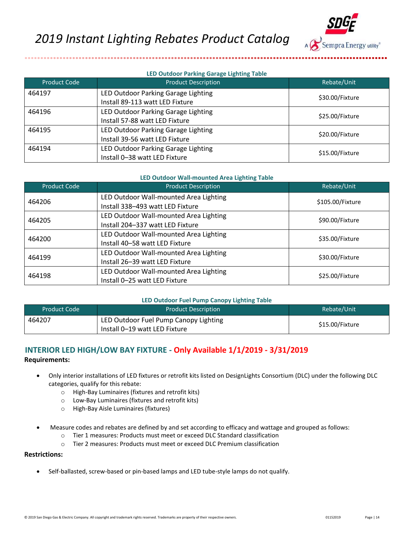

### **LED Outdoor Parking Garage Lighting Table**

| Product Code | <b>Product Description</b>          | Rebate/Unit     |
|--------------|-------------------------------------|-----------------|
| 464197       | LED Outdoor Parking Garage Lighting | \$30.00/Fixture |
|              | Install 89-113 watt LED Fixture     |                 |
| 464196       | LED Outdoor Parking Garage Lighting | \$25.00/Fixture |
|              | Install 57-88 watt LED Fixture      |                 |
| 464195       | LED Outdoor Parking Garage Lighting | \$20.00/Fixture |
|              | Install 39-56 watt LED Fixture      |                 |
| 464194       | LED Outdoor Parking Garage Lighting | \$15.00/Fixture |
|              | Install 0-38 watt LED Fixture       |                 |

#### **LED Outdoor Wall-mounted Area Lighting Table**

| <b>Product Code</b> | <b>Product Description</b>                                                 | Rebate/Unit      |
|---------------------|----------------------------------------------------------------------------|------------------|
| 464206              | LED Outdoor Wall-mounted Area Lighting<br>Install 338-493 watt LED Fixture | \$105.00/Fixture |
| 464205              | LED Outdoor Wall-mounted Area Lighting<br>Install 204-337 watt LED Fixture | \$90.00/Fixture  |
| 464200              | LED Outdoor Wall-mounted Area Lighting<br>Install 40-58 watt LED Fixture   | \$35.00/Fixture  |
| 464199              | LED Outdoor Wall-mounted Area Lighting<br>Install 26-39 watt LED Fixture   | \$30.00/Fixture  |
| 464198              | LED Outdoor Wall-mounted Area Lighting<br>Install 0-25 watt LED Fixture    | \$25.00/Fixture  |

#### **LED Outdoor Fuel Pump Canopy Lighting Table**

| <b>Product Code</b> | <b>Product Description</b>                                             | Rebate/Unit     |
|---------------------|------------------------------------------------------------------------|-----------------|
| 464207              | LED Outdoor Fuel Pump Canopy Lighting<br>Install 0–19 watt LED Fixture | \$15.00/Fixture |

# <span id="page-13-0"></span>**INTERIOR LED HIGH/LOW BAY FIXTURE - Only Available 1/1/2019 - 3/31/2019 Requirements:**

- Only interior installations of LED fixtures or retrofit kits listed on DesignLights Consortium (DLC) under the following DLC categories, qualify for this rebate:
	- o High-Bay Luminaires (fixtures and retrofit kits)
	- o Low-Bay Luminaires (fixtures and retrofit kits)
	- o High-Bay Aisle Luminaires (fixtures)
- Measure codes and rebates are defined by and set according to efficacy and wattage and grouped as follows:
	- o Tier 1 measures: Products must meet or exceed DLC Standard classification
	- o Tier 2 measures: Products must meet or exceed DLC Premium classification

# **Restrictions:**

• Self-ballasted, screw-based or pin-based lamps and LED tube-style lamps do not qualify.